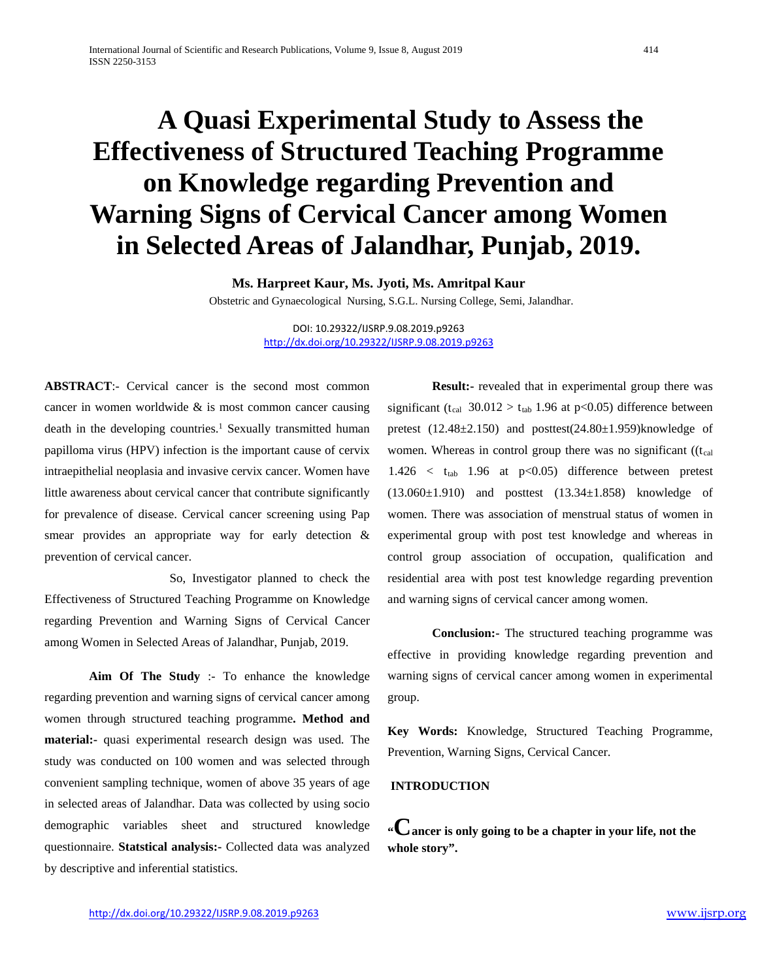# **A Quasi Experimental Study to Assess the Effectiveness of Structured Teaching Programme on Knowledge regarding Prevention and Warning Signs of Cervical Cancer among Women in Selected Areas of Jalandhar, Punjab, 2019.**

**Ms. Harpreet Kaur, Ms. Jyoti, Ms. Amritpal Kaur** 

Obstetric and Gynaecological Nursing, S.G.L. Nursing College, Semi, Jalandhar.

DOI: 10.29322/IJSRP.9.08.2019.p9263 <http://dx.doi.org/10.29322/IJSRP.9.08.2019.p9263>

**ABSTRACT:**- Cervical cancer is the second most common cancer in women worldwide & is most common cancer causing death in the developing countries.<sup>1</sup> Sexually transmitted human papilloma virus (HPV) infection is the important cause of cervix intraepithelial neoplasia and invasive cervix cancer. Women have little awareness about cervical cancer that contribute significantly for prevalence of disease. Cervical cancer screening using Pap smear provides an appropriate way for early detection & prevention of cervical cancer.

 So, Investigator planned to check the Effectiveness of Structured Teaching Programme on Knowledge regarding Prevention and Warning Signs of Cervical Cancer among Women in Selected Areas of Jalandhar, Punjab, 2019.

**Aim Of The Study** :- To enhance the knowledge regarding prevention and warning signs of cervical cancer among women through structured teaching programme**. Method and material:-** quasi experimental research design was used. The study was conducted on 100 women and was selected through convenient sampling technique, women of above 35 years of age in selected areas of Jalandhar. Data was collected by using socio demographic variables sheet and structured knowledge questionnaire. **Statstical analysis:-** Collected data was analyzed by descriptive and inferential statistics.

**Result:-** revealed that in experimental group there was significant (t<sub>cal</sub> 30.012 > t<sub>tab</sub> 1.96 at p<0.05) difference between pretest (12.48±2.150) and posttest(24.80±1.959)knowledge of women. Whereas in control group there was no significant ( $(t_{cal}$  $1.426 < t_{tab}$  1.96 at p<0.05) difference between pretest  $(13.060 \pm 1.910)$  and posttest  $(13.34 \pm 1.858)$  knowledge of women. There was association of menstrual status of women in experimental group with post test knowledge and whereas in control group association of occupation, qualification and residential area with post test knowledge regarding prevention and warning signs of cervical cancer among women.

**Conclusion:-** The structured teaching programme was effective in providing knowledge regarding prevention and warning signs of cervical cancer among women in experimental group.

**Key Words:** Knowledge, Structured Teaching Programme, Prevention, Warning Signs, Cervical Cancer.

## **INTRODUCTION**

**"Cancer is only going to be a chapter in your life, not the whole story".**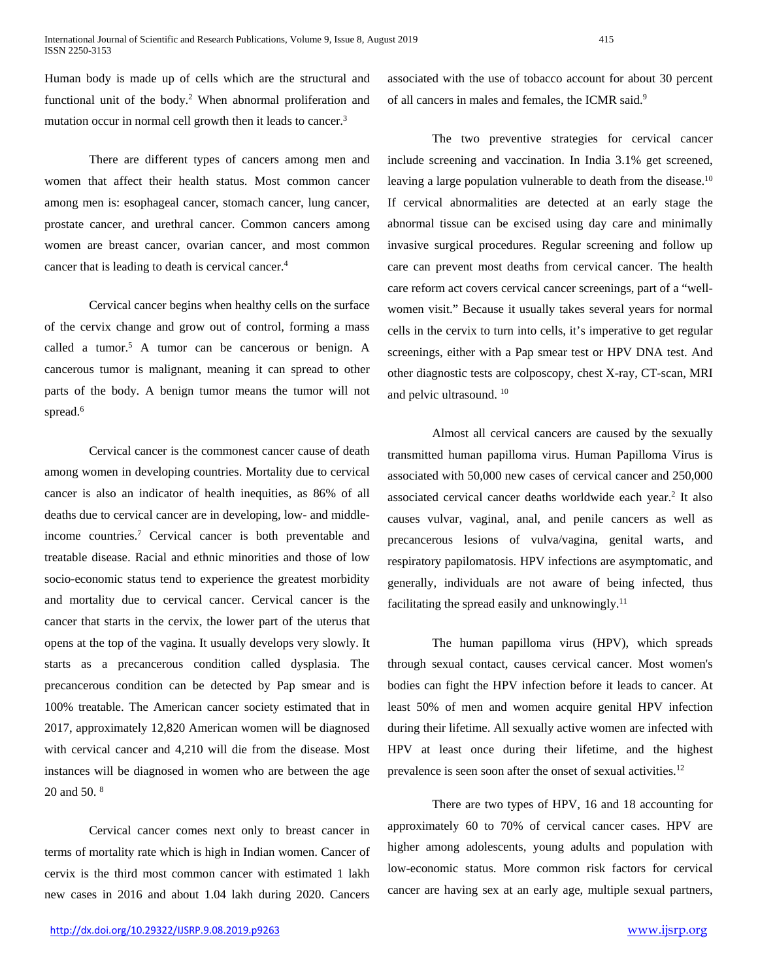Human body is made up of cells which are the structural and functional unit of the body.2 When abnormal proliferation and mutation occur in normal cell growth then it leads to cancer.<sup>3</sup>

There are different types of cancers among men and women that affect their health status. Most common cancer among men is: esophageal cancer, stomach cancer, lung cancer, prostate cancer, and urethral cancer. Common cancers among women are breast cancer, ovarian cancer, and most common cancer that is leading to death is cervical cancer.<sup>4</sup>

Cervical cancer begins when healthy cells on the surface of the cervix change and grow out of control, forming a mass called a tumor.<sup>5</sup> A tumor can be cancerous or benign. A cancerous tumor is malignant, meaning it can spread to other parts of the body. A benign tumor means the tumor will not spread.<sup>6</sup>

Cervical cancer is the commonest cancer cause of death among women in developing countries. Mortality due to cervical cancer is also an indicator of health inequities, as 86% of all deaths due to cervical cancer are in developing, low- and middleincome countries.7 Cervical cancer is both preventable and treatable disease. Racial and ethnic minorities and those of low socio-economic status tend to experience the greatest morbidity and mortality due to cervical cancer. Cervical cancer is the cancer that starts in the cervix, the lower part of the uterus that opens at the top of the vagina. It usually develops very slowly. It starts as a precancerous condition called dysplasia. The precancerous condition can be detected by Pap smear and is 100% treatable. The American cancer society estimated that in 2017, approximately 12,820 American women will be diagnosed with cervical cancer and 4,210 will die from the disease. Most instances will be diagnosed in women who are between the age 20 and 50. 8

Cervical cancer comes next only to breast cancer in terms of mortality rate which is high in Indian women. Cancer of cervix is the third most common cancer with estimated 1 lakh new cases in 2016 and about 1.04 lakh during 2020. Cancers associated with the use of tobacco account for about 30 percent of all cancers in males and females, the ICMR said.9

The two preventive strategies for cervical cancer include screening and vaccination. In India 3.1% get screened, leaving a large population vulnerable to death from the disease.<sup>10</sup> If cervical abnormalities are detected at an early stage the abnormal tissue can be excised using day care and minimally invasive surgical procedures. Regular screening and follow up care can prevent most deaths from cervical cancer. The health care reform act covers cervical cancer screenings, part of a "wellwomen visit." Because it usually takes several years for normal cells in the cervix to turn into cells, it's imperative to get regular screenings, either with a Pap smear test or HPV DNA test. And other diagnostic tests are colposcopy, chest X-ray, CT-scan, MRI and pelvic ultrasound. 10

Almost all cervical cancers are caused by the sexually transmitted human papilloma virus. Human Papilloma Virus is associated with 50,000 new cases of cervical cancer and 250,000 associated cervical cancer deaths worldwide each year.2 It also causes vulvar, vaginal, anal, and penile cancers as well as precancerous lesions of vulva/vagina, genital warts, and respiratory papilomatosis. HPV infections are asymptomatic, and generally, individuals are not aware of being infected, thus facilitating the spread easily and unknowingly. $^{11}$ 

The human papilloma virus (HPV), which spreads through sexual contact, causes cervical cancer. Most women's bodies can fight the HPV infection before it leads to cancer. At least 50% of men and women acquire genital HPV infection during their lifetime. All sexually active women are infected with HPV at least once during their lifetime, and the highest prevalence is seen soon after the onset of sexual activities.12

There are two types of HPV, 16 and 18 accounting for approximately 60 to 70% of cervical cancer cases. HPV are higher among adolescents, young adults and population with low-economic status. More common risk factors for cervical cancer are having sex at an early age, multiple sexual partners,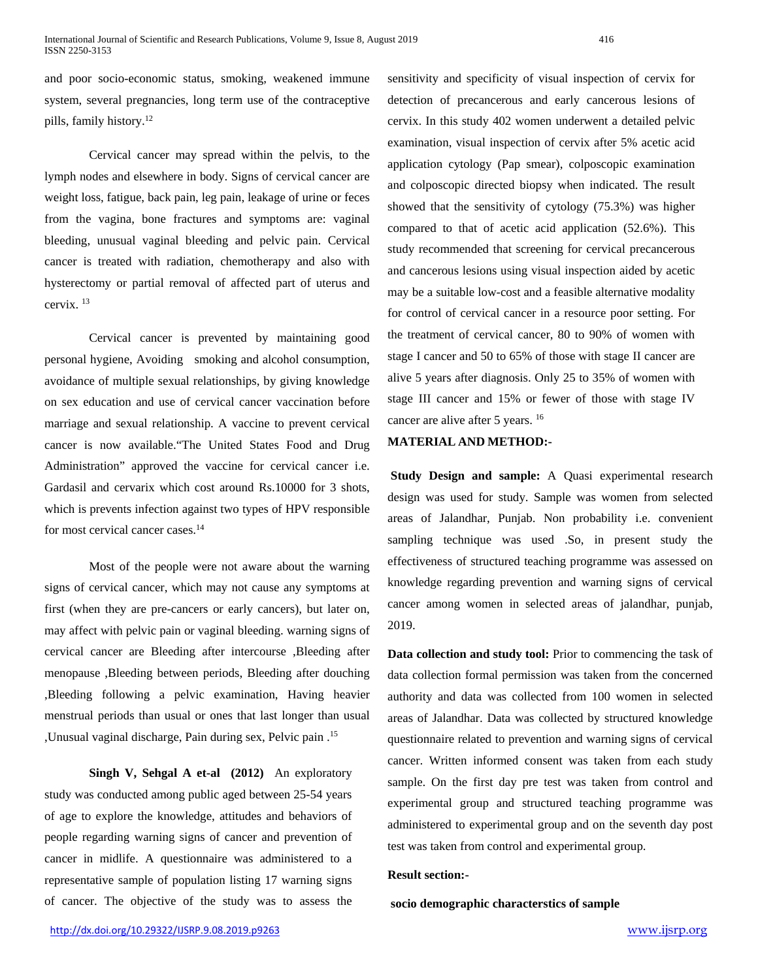and poor socio-economic status, smoking, weakened immune system, several pregnancies, long term use of the contraceptive pills, family history.12

Cervical cancer may spread within the pelvis, to the lymph nodes and elsewhere in body. Signs of cervical cancer are weight loss, fatigue, back pain, leg pain, leakage of urine or feces from the vagina, bone fractures and symptoms are: vaginal bleeding, unusual vaginal bleeding and pelvic pain. Cervical cancer is treated with radiation, chemotherapy and also with hysterectomy or partial removal of affected part of uterus and cervix. 13

Cervical cancer is prevented by maintaining good personal hygiene, Avoiding smoking and alcohol consumption, avoidance of multiple sexual relationships, by giving knowledge on sex education and use of cervical cancer vaccination before marriage and sexual relationship. A vaccine to prevent cervical cancer is now available."The United States Food and Drug Administration" approved the vaccine for cervical cancer i.e. Gardasil and cervarix which cost around Rs.10000 for 3 shots, which is prevents infection against two types of HPV responsible for most cervical cancer cases.<sup>14</sup>

Most of the people were not aware about the warning signs of cervical cancer, which may not cause any symptoms at first (when they are pre-cancers or early cancers), but later on, may affect with pelvic pain or vaginal bleeding. warning signs of cervical cancer are Bleeding after intercourse ,Bleeding after menopause ,Bleeding between periods, Bleeding after douching ,Bleeding following a pelvic examination, Having heavier menstrual periods than usual or ones that last longer than usual ,Unusual vaginal discharge, Pain during sex, Pelvic pain .15

**Singh V, Sehgal A et-al (2012)** An exploratory study was conducted among public aged between 25-54 years of age to explore the knowledge, attitudes and behaviors of people regarding warning signs of cancer and prevention of cancer in midlife. A questionnaire was administered to a representative sample of population listing 17 warning signs of cancer. The objective of the study was to assess the

sensitivity and specificity of visual inspection of cervix for detection of precancerous and early cancerous lesions of cervix. In this study 402 women underwent a detailed pelvic examination, visual inspection of cervix after 5% acetic acid application cytology (Pap smear), colposcopic examination and colposcopic directed biopsy when indicated. The result showed that the sensitivity of cytology (75.3%) was higher compared to that of acetic acid application (52.6%). This study recommended that screening for cervical precancerous and cancerous lesions using visual inspection aided by acetic may be a suitable low-cost and a feasible alternative modality for control of cervical cancer in a resource poor setting. For the treatment of cervical cancer, 80 to 90% of women with stage I cancer and 50 to 65% of those with stage II cancer are alive 5 years after diagnosis. Only 25 to 35% of women with stage III cancer and 15% or fewer of those with stage IV cancer are alive after 5 years. 16

#### **MATERIAL AND METHOD:-**

**Study Design and sample:** A Quasi experimental research design was used for study. Sample was women from selected areas of Jalandhar, Punjab. Non probability i.e. convenient sampling technique was used .So, in present study the effectiveness of structured teaching programme was assessed on knowledge regarding prevention and warning signs of cervical cancer among women in selected areas of jalandhar, punjab, 2019.

**Data collection and study tool:** Prior to commencing the task of data collection formal permission was taken from the concerned authority and data was collected from 100 women in selected areas of Jalandhar. Data was collected by structured knowledge questionnaire related to prevention and warning signs of cervical cancer. Written informed consent was taken from each study sample. On the first day pre test was taken from control and experimental group and structured teaching programme was administered to experimental group and on the seventh day post test was taken from control and experimental group.

#### **Result section:-**

**socio demographic characterstics of sample**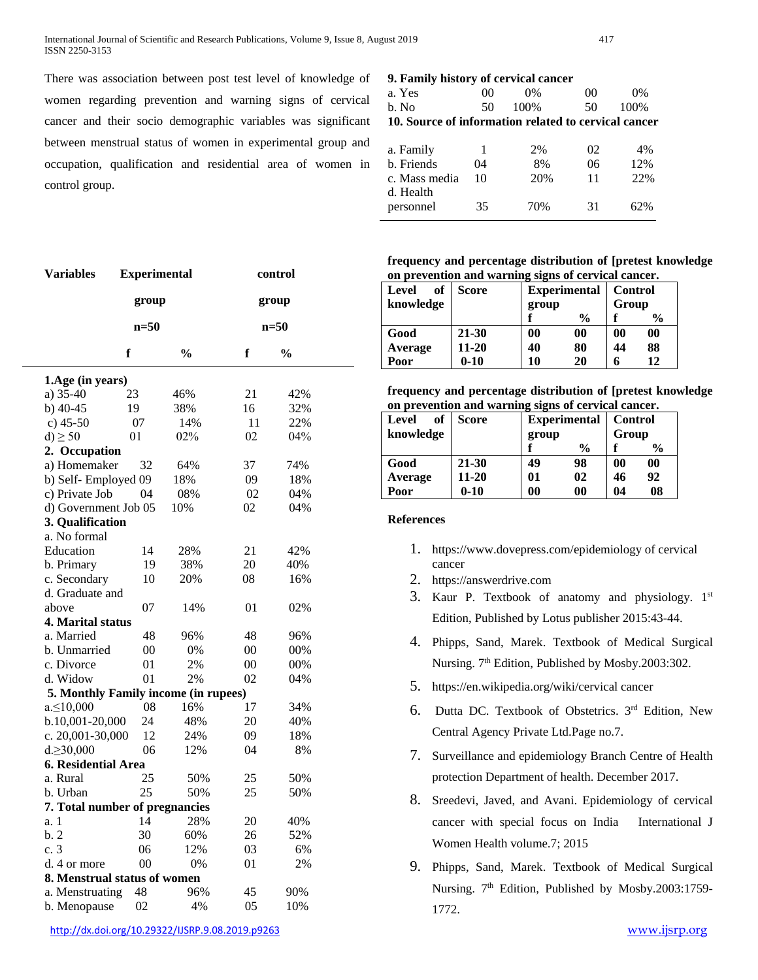There was association between post test level of knowledge of women regarding prevention and warning signs of cervical cancer and their socio demographic variables was significant between menstrual status of women in experimental group and occupation, qualification and residential area of women in control group.

#### **9. Family history of cervical cancer**

| a. Yes                                               | 00 | 0%    | 0 <sup>0</sup> | $0\%$ |  |  |  |
|------------------------------------------------------|----|-------|----------------|-------|--|--|--|
| b. No                                                | 50 | 100\% | 50             | 100%  |  |  |  |
| 10. Source of information related to cervical cancer |    |       |                |       |  |  |  |
|                                                      |    |       |                |       |  |  |  |
| a. Family                                            | 1  | 2%    | 02             | 4%    |  |  |  |
| b. Friends                                           | 04 | 8%    | 06             | 12%   |  |  |  |
| c. Mass media                                        | 10 | 20%   | 11             | 22%   |  |  |  |
| d. Health                                            |    |       |                |       |  |  |  |
| personnel                                            | 35 | 70%   | 31             | 62%   |  |  |  |

**frequency and percentage distribution of [pretest knowledge on prevention and warning signs of cervical cancer.**

| of<br><b>Level</b> | <b>Score</b> | <b>Experimental</b> |               | <b>Control</b> |               |
|--------------------|--------------|---------------------|---------------|----------------|---------------|
| knowledge          |              | group               |               | Group          |               |
|                    |              |                     | $\frac{0}{0}$ |                | $\frac{6}{9}$ |
| Good               | 21-30        | 00                  | 00            | $\bf{00}$      | 00            |
| Average            | $11 - 20$    | 40                  | 80            | 44             | 88            |
| Poor               | $0 - 10$     | 10                  | 20            | 6              | 12            |

**frequency and percentage distribution of [pretest knowledge on prevention and warning signs of cervical cancer.**

| of<br>Level | <b>Score</b> | <b>Experimental</b> |               | <b>Control</b> |               |
|-------------|--------------|---------------------|---------------|----------------|---------------|
| knowledge   |              | group               |               | Group          |               |
|             |              |                     | $\frac{0}{0}$ |                | $\frac{6}{6}$ |
| Good        | 21-30        | 49                  | 98            | 00             | $\bf{00}$     |
| Average     | $11 - 20$    | 01                  | 02            | 46             | 92            |
| Poor        | $0 - 10$     | 0 <sup>0</sup>      | $\bf{00}$     | 04             | 08            |

#### **References**

- 1. <https://www.dovepress.com/epidemiology> of cervical cancer
- 2. [https://answerdrive.com](https://answerdrive.com/)
- 3. Kaur P. Textbook of anatomy and physiology. 1st Edition, Published by Lotus publisher 2015:43-44.
- 4. Phipps, Sand, Marek. Textbook of Medical Surgical Nursing. 7<sup>th</sup> Edition, Published by Mosby.2003:302.
- 5. <https://en.wikipedia.org/wiki/cervical> cancer
- 6. Dutta DC. Textbook of Obstetrics. 3rd Edition, New Central Agency Private Ltd.Page no.7.
- 7. Surveillance and epidemiology Branch Centre of Health protection Department of health. December 2017.
- 8. Sreedevi, [Javed,](https://www.ncbi.nlm.nih.gov/pubmed/?term=Javed%20R%5BAuthor%5D&cauthor=true&cauthor_uid=25931830) and Avani. Epidemiology of cervical cancer with special focus on India [International J](https://www.ncbi.nlm.nih.gov/pmc/journals/1312/)  [Women Health](https://www.ncbi.nlm.nih.gov/pmc/journals/1312/) [volume.7; 2015](https://www.ncbi.nlm.nih.gov/pmc/issues/246830/)
- 9. Phipps, Sand, Marek. Textbook of Medical Surgical Nursing.  $7<sup>th</sup>$  Edition, Published by Mosby.2003:1759-1772.

| <b>Variables</b>                     | <b>Experimental</b> |               | control |               |  |
|--------------------------------------|---------------------|---------------|---------|---------------|--|
|                                      | group               |               | group   |               |  |
|                                      | $n=50$              |               | $n=50$  |               |  |
|                                      | f                   | $\frac{0}{0}$ | f       | $\frac{0}{0}$ |  |
| 1.Age (in years)                     |                     |               |         |               |  |
| a) 35-40                             | 23                  | 46%           | 21      | 42%           |  |
| $b)$ 40-45                           | 19                  | 38%           | 16      | 32%           |  |
| c) $45-50$                           | 07                  | 14%           | 11      | 22%           |  |
| $d$ ) $\geq$ 50                      | 01                  | 02%           | 02      | 04%           |  |
| 2. Occupation                        |                     |               |         |               |  |
| a) Homemaker                         | 32                  | 64%           | 37      | 74%           |  |
| b) Self-Employed 09                  |                     | 18%           | 09      | 18%           |  |
| c) Private Job                       | 04                  | 08%           | 02      | 04%           |  |
| d) Government Job 05                 |                     | 10%           | 02      | 04%           |  |
| 3. Qualification                     |                     |               |         |               |  |
| a. No formal                         |                     |               |         |               |  |
| Education                            | 14                  | 28%           | 21      | 42%           |  |
| b. Primary                           | 19                  | 38%           | 20      | 40%           |  |
| c. Secondary                         | 10                  | 20%           | 08      | 16%           |  |
| d. Graduate and                      |                     |               |         |               |  |
| above                                | 07                  | 14%           | 01      | 02%           |  |
| 4. Marital status                    |                     |               |         |               |  |
| a. Married                           | 48                  | 96%           | 48      | 96%           |  |
| b. Unmarried                         | $00\,$              | 0%            | 00      | 00%           |  |
| c. Divorce                           | 01                  | 2%            | 00      | 00%           |  |
| d. Widow                             | 01                  | 2%            | 02      | 04%           |  |
| 5. Monthly Family income (in rupees) |                     |               |         |               |  |
| $a \le 10,000$                       | 08                  | 16%           | 17      | 34%           |  |
| b.10,001-20,000                      | 24                  | 48%           | 20      | 40%           |  |
| c. 20,001-30,000                     | 12                  | 24%           | 09      | 18%           |  |
| $d.\geq 30,000$                      | 06                  | 12%           | 04      | 8%            |  |
| 6. Residential Area                  |                     |               |         |               |  |
| a. Rural                             | 25                  | 50%           | 25      | 50%           |  |
| b. Urban                             | 25                  | 50%           | 25      | 50%           |  |
| 7. Total number of pregnancies       |                     |               |         |               |  |
| a. 1                                 | 14                  | 28%           | 20      | 40%           |  |
| b.2                                  | 30                  | 60%           | 26      | 52%           |  |
| c.3                                  | 06                  | 12%           | 03      | 6%            |  |
| d. 4 or more                         | 00                  | 0%            | 01      | 2%            |  |
| 8. Menstrual status of women         |                     |               |         |               |  |
| a. Menstruating                      | 48                  | 96%           | 45      | 90%           |  |
| b. Menopause                         | 02                  | 4%            | 05      | 10%           |  |
|                                      |                     |               |         |               |  |